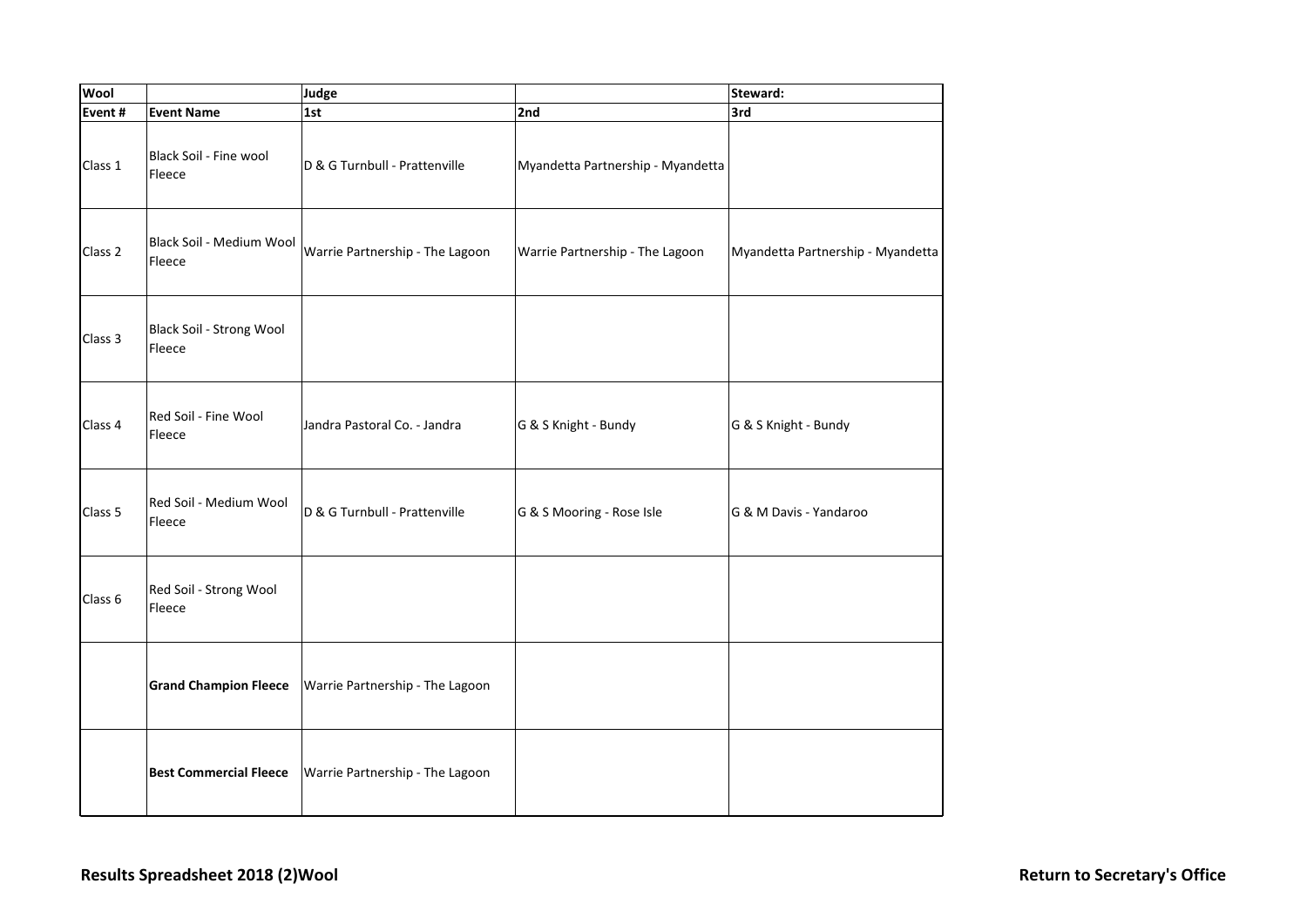| Wool    |                                    | Judge                           |                                   | Steward:                          |
|---------|------------------------------------|---------------------------------|-----------------------------------|-----------------------------------|
| Event#  | <b>Event Name</b>                  | 1st                             | 2nd                               | 3rd                               |
| Class 1 | Black Soil - Fine wool<br>Fleece   | D & G Turnbull - Prattenville   | Myandetta Partnership - Myandetta |                                   |
| Class 2 | Black Soil - Medium Wool<br>Fleece | Warrie Partnership - The Lagoon | Warrie Partnership - The Lagoon   | Myandetta Partnership - Myandetta |
| Class 3 | Black Soil - Strong Wool<br>Fleece |                                 |                                   |                                   |
| Class 4 | Red Soil - Fine Wool<br>Fleece     | Jandra Pastoral Co. - Jandra    | G & S Knight - Bundy              | G & S Knight - Bundy              |
| Class 5 | Red Soil - Medium Wool<br>Fleece   | D & G Turnbull - Prattenville   | G & S Mooring - Rose Isle         | G & M Davis - Yandaroo            |
| Class 6 | Red Soil - Strong Wool<br>Fleece   |                                 |                                   |                                   |
|         | <b>Grand Champion Fleece</b>       | Warrie Partnership - The Lagoon |                                   |                                   |
|         | <b>Best Commercial Fleece</b>      | Warrie Partnership - The Lagoon |                                   |                                   |